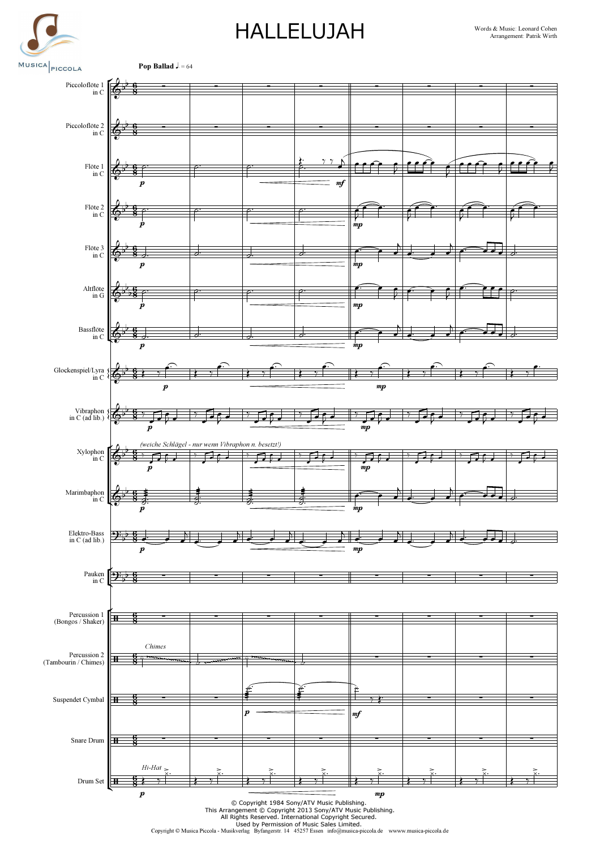

## Words & Music: Leonard Cohen HALLELUJAH Arrangement: Patrik Wirth

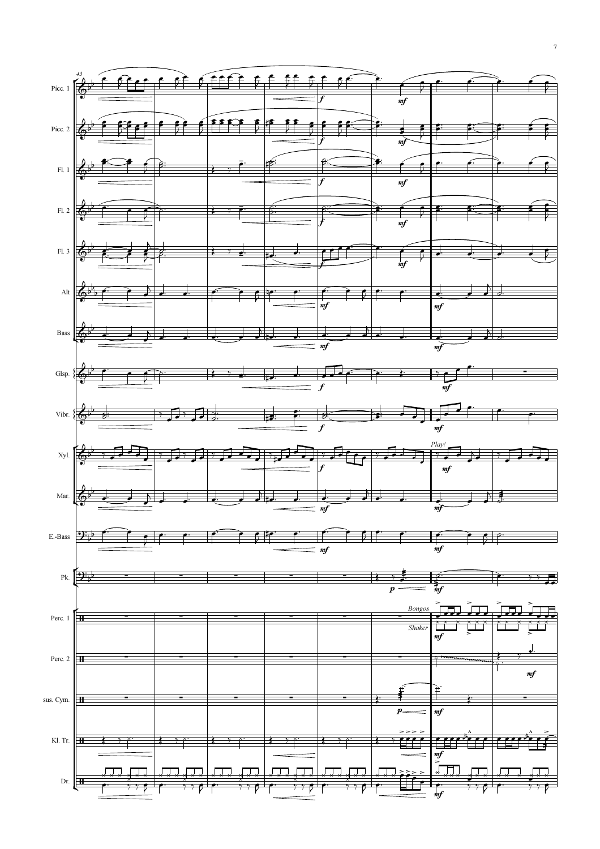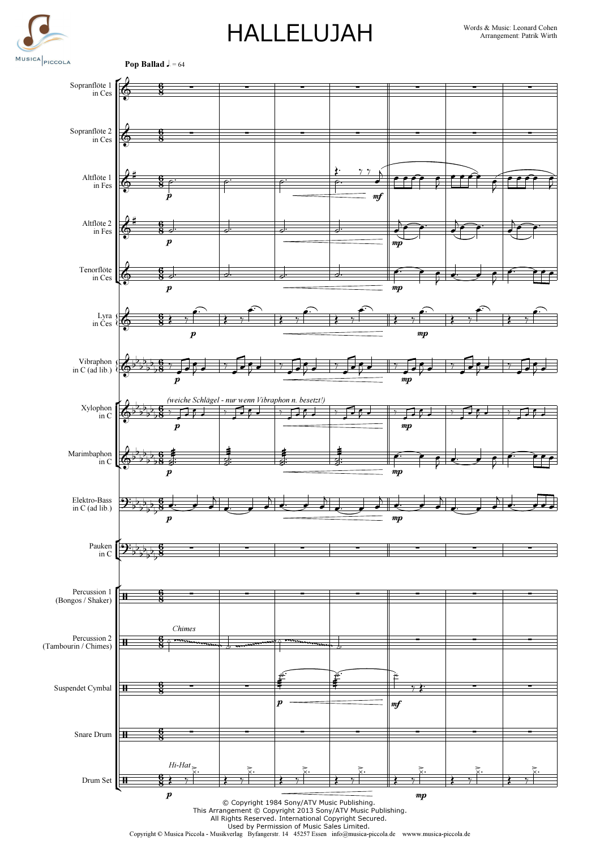

## HALLELUJAH

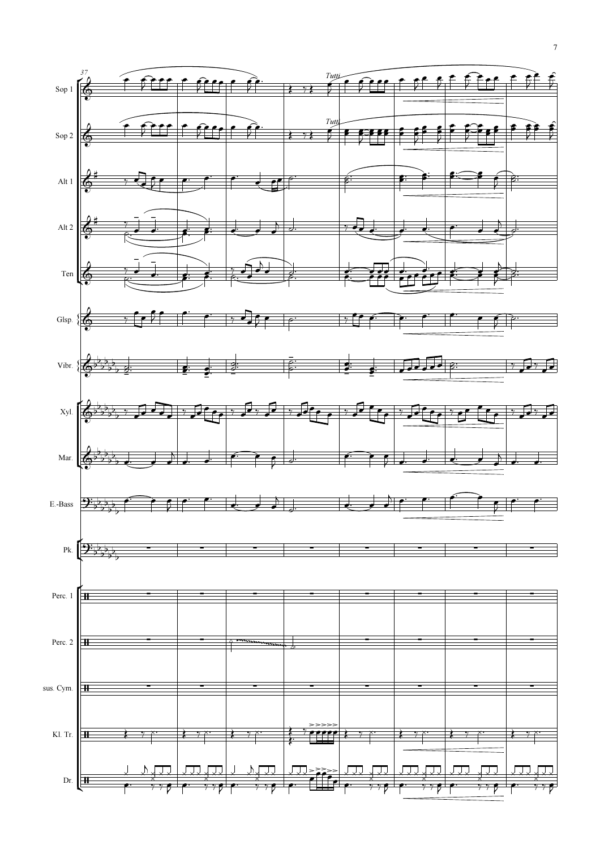![](_page_3_Figure_0.jpeg)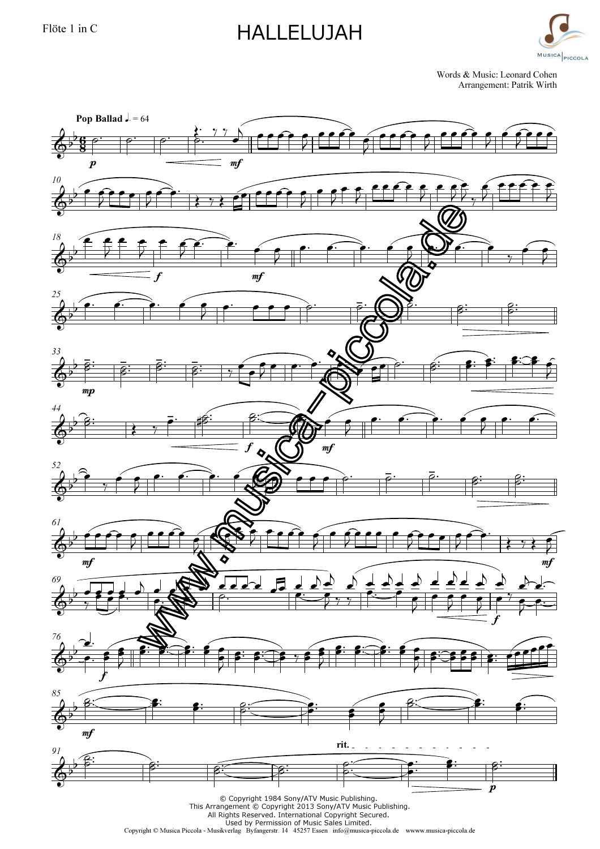Flöte 1 in C<br>
HALLELUJAH

![](_page_4_Picture_2.jpeg)

Words & Music: Leonard Cohen Arrangement: Patrik Wirth

![](_page_4_Figure_4.jpeg)

Used by Permission of Music Sales Limited.<br>Copyright © Musica Piccola - Musikverlag Byfangerstr. 14 45257 Essen info@musica-piccola.de wwww.musica-piccola.de